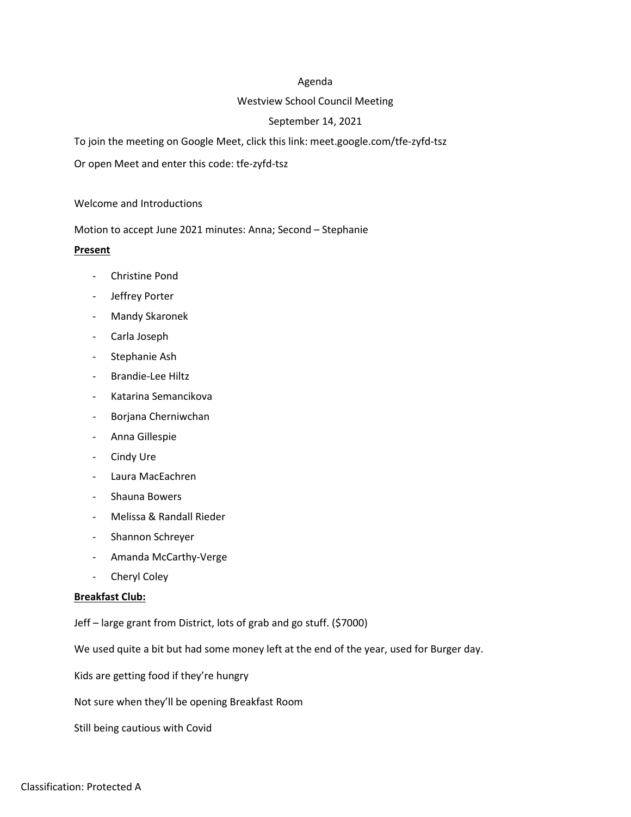# Agenda

# Westview School Council Meeting

# September 14, 2021

To join the meeting on Google Meet, click this link: meet.google.com/tfe-zyfd-tsz

Or open Meet and enter this code: tfe-zyfd-tsz

### Welcome and Introductions

Motion to accept June 2021 minutes: Anna; Second – Stephanie

# **Present**

- Christine Pond
- Jeffrey Porter
- Mandy Skaronek
- Carla Joseph
- Stephanie Ash
- Brandie-Lee Hiltz
- Katarina Semancikova
- Borjana Cherniwchan
- Anna Gillespie
- Cindy Ure
- Laura MacEachren
- Shauna Bowers
- Melissa & Randall Rieder
- Shannon Schreyer
- Amanda McCarthy-Verge
- Cheryl Coley

### **Breakfast Club:**

Jeff – large grant from District, lots of grab and go stuff. (\$7000)

We used quite a bit but had some money left at the end of the year, used for Burger day.

Kids are getting food if they're hungry

Not sure when they'll be opening Breakfast Room

Still being cautious with Covid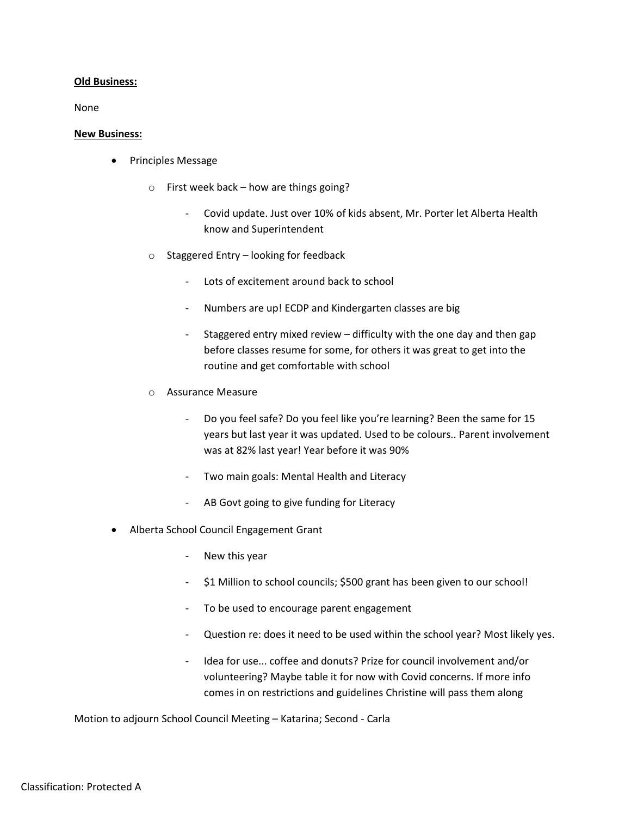# **Old Business:**

None

### **New Business:**

- Principles Message
	- o First week back how are things going?
		- Covid update. Just over 10% of kids absent, Mr. Porter let Alberta Health know and Superintendent
	- o Staggered Entry looking for feedback
		- Lots of excitement around back to school
		- Numbers are up! ECDP and Kindergarten classes are big
		- Staggered entry mixed review difficulty with the one day and then gap before classes resume for some, for others it was great to get into the routine and get comfortable with school
	- o Assurance Measure
		- Do you feel safe? Do you feel like you're learning? Been the same for 15 years but last year it was updated. Used to be colours.. Parent involvement was at 82% last year! Year before it was 90%
		- Two main goals: Mental Health and Literacy
		- AB Govt going to give funding for Literacy
- Alberta School Council Engagement Grant
	- New this year
	- \$1 Million to school councils; \$500 grant has been given to our school!
	- To be used to encourage parent engagement
	- Question re: does it need to be used within the school year? Most likely yes.
	- Idea for use... coffee and donuts? Prize for council involvement and/or volunteering? Maybe table it for now with Covid concerns. If more info comes in on restrictions and guidelines Christine will pass them along

Motion to adjourn School Council Meeting – Katarina; Second - Carla